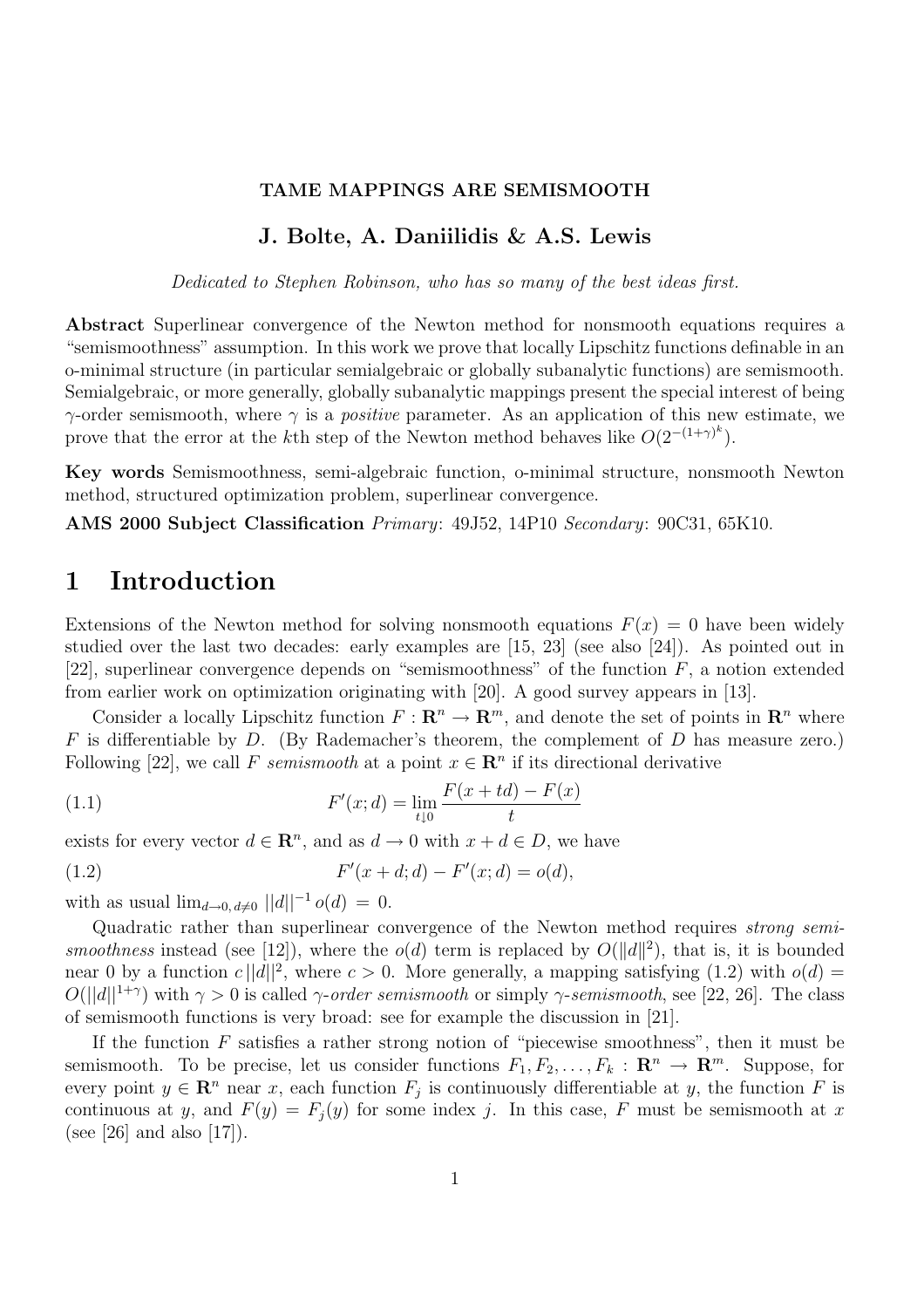#### TAME MAPPINGS ARE SEMISMOOTH

### J. Bolte, A. Daniilidis & A.S. Lewis

Dedicated to Stephen Robinson, who has so many of the best ideas first.

Abstract Superlinear convergence of the Newton method for nonsmooth equations requires a "semismoothness" assumption. In this work we prove that locally Lipschitz functions definable in an o-minimal structure (in particular semialgebraic or globally subanalytic functions) are semismooth. Semialgebraic, or more generally, globally subanalytic mappings present the special interest of being  $\gamma$ -order semismooth, where  $\gamma$  is a *positive* parameter. As an application of this new estimate, we prove that the error at the k<sup>th</sup> step of the Newton method behaves like  $O(2^{-(1+\gamma)^k})$ .

Key words Semismoothness, semi-algebraic function, o-minimal structure, nonsmooth Newton method, structured optimization problem, superlinear convergence.

AMS 2000 Subject Classification Primary: 49J52, 14P10 Secondary: 90C31, 65K10.

# 1 Introduction

Extensions of the Newton method for solving nonsmooth equations  $F(x) = 0$  have been widely studied over the last two decades: early examples are [15, 23] (see also [24]). As pointed out in [22], superlinear convergence depends on "semismoothness" of the function  $F$ , a notion extended from earlier work on optimization originating with [20]. A good survey appears in [13].

Consider a locally Lipschitz function  $F: \mathbb{R}^n \to \mathbb{R}^m$ , and denote the set of points in  $\mathbb{R}^n$  where  $F$  is differentiable by  $D$ . (By Rademacher's theorem, the complement of  $D$  has measure zero.) Following [22], we call F semismooth at a point  $x \in \mathbb{R}^n$  if its directional derivative

(1.1) 
$$
F'(x; d) = \lim_{t \downarrow 0} \frac{F(x + td) - F(x)}{t}
$$

exists for every vector  $d \in \mathbb{R}^n$ , and as  $d \to 0$  with  $x + d \in D$ , we have

(1.2) 
$$
F'(x+d; d) - F'(x; d) = o(d),
$$

with as usual  $\lim_{d\to 0, d\neq 0} ||d||^{-1} o(d) = 0.$ 

Quadratic rather than superlinear convergence of the Newton method requires strong semismoothness instead (see [12]), where the  $o(d)$  term is replaced by  $O(||d||^2)$ , that is, it is bounded near 0 by a function  $c||d||^2$ , where  $c > 0$ . More generally, a mapping satisfying (1.2) with  $o(d) =$  $O(||d||^{1+\gamma})$  with  $\gamma > 0$  is called  $\gamma$ -order semismooth or simply  $\gamma$ -semismooth, see [22, 26]. The class of semismooth functions is very broad: see for example the discussion in [21].

If the function  $F$  satisfies a rather strong notion of "piecewise smoothness", then it must be semismooth. To be precise, let us consider functions  $F_1, F_2, \ldots, F_k : \mathbb{R}^n \to \mathbb{R}^m$ . Suppose, for every point  $y \in \mathbb{R}^n$  near x, each function  $F_j$  is continuously differentiable at y, the function F is continuous at y, and  $F(y) = F_j(y)$  for some index j. In this case, F must be semismooth at x (see [26] and also  $[17]$ ).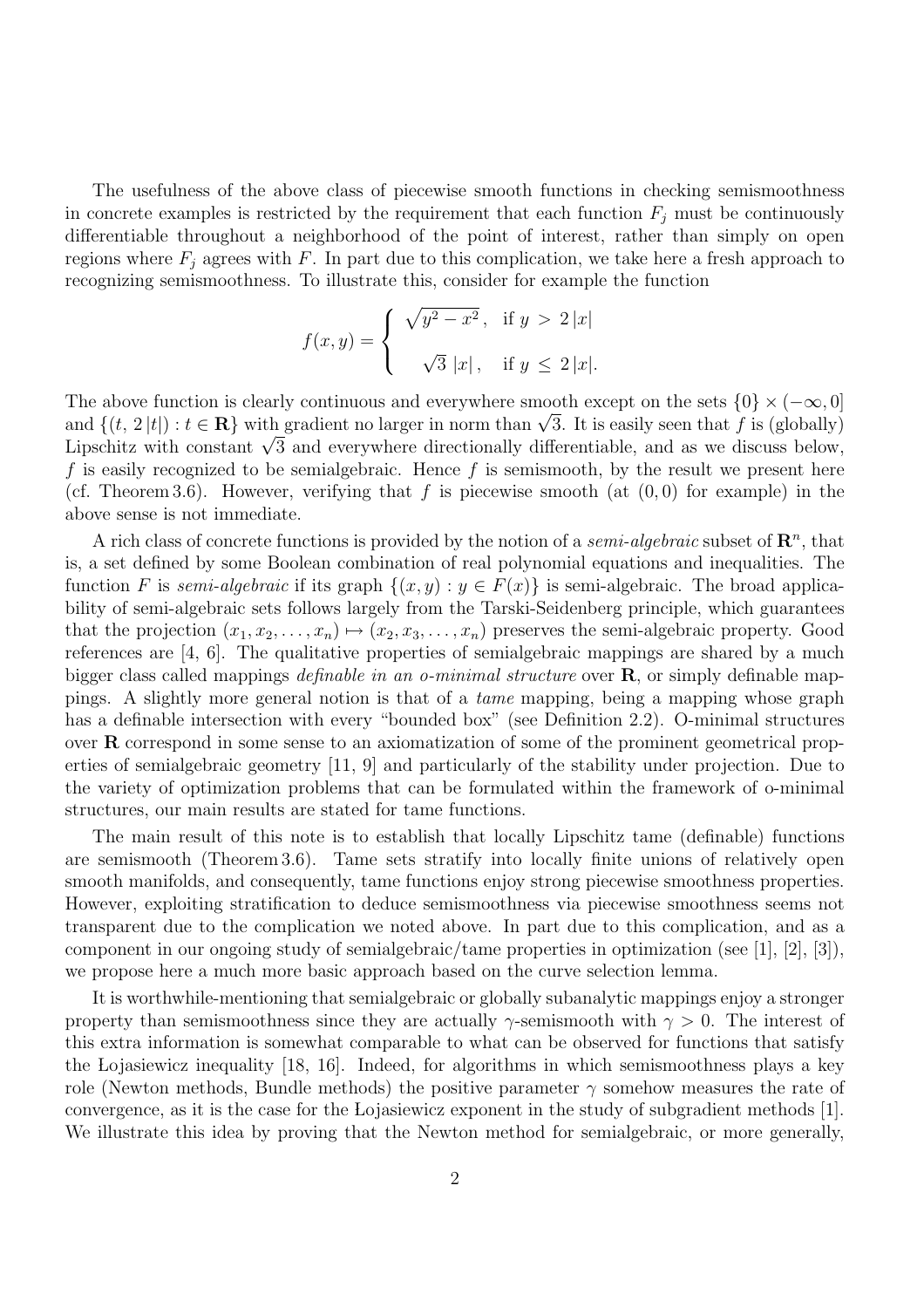The usefulness of the above class of piecewise smooth functions in checking semismoothness in concrete examples is restricted by the requirement that each function  $F_j$  must be continuously differentiable throughout a neighborhood of the point of interest, rather than simply on open regions where  $F_i$  agrees with F. In part due to this complication, we take here a fresh approach to recognizing semismoothness. To illustrate this, consider for example the function

$$
f(x,y) = \begin{cases} \sqrt{y^2 - x^2}, & \text{if } y > 2|x| \\ \sqrt{3}|x|, & \text{if } y \le 2|x|. \end{cases}
$$

The above function is clearly continuous and everywhere smooth except on the sets  $\{0\} \times (-\infty, 0]$ The above function is clearly continuous and everywhere smooth except on the sets  $\{0\} \times (-\infty, 0]$ <br>and  $\{(t, 2|t|): t \in \mathbb{R}\}$  with gradient no larger in norm than  $\sqrt{3}$ . It is easily seen that f is (globally) and  $\{(t, 2|t|): t \in \mathbf{R}\}$  with gradient no larger in norm than  $\sqrt{3}$ . It is easily seen that f is (globally)<br>Lipschitz with constant  $\sqrt{3}$  and everywhere directionally differentiable, and as we discuss below, f is easily recognized to be semialgebraic. Hence f is semismooth, by the result we present here (cf. Theorem 3.6). However, verifying that f is piecewise smooth (at  $(0,0)$ ) for example) in the above sense is not immediate.

A rich class of concrete functions is provided by the notion of a *semi-algebraic* subset of  $\mathbb{R}^n$ , that is, a set defined by some Boolean combination of real polynomial equations and inequalities. The function F is semi-algebraic if its graph  $\{(x, y) : y \in F(x)\}\$ is semi-algebraic. The broad applicability of semi-algebraic sets follows largely from the Tarski-Seidenberg principle, which guarantees that the projection  $(x_1, x_2, \ldots, x_n) \mapsto (x_2, x_3, \ldots, x_n)$  preserves the semi-algebraic property. Good references are [4, 6]. The qualitative properties of semialgebraic mappings are shared by a much bigger class called mappings *definable in an o-minimal structure* over  $\bf{R}$ , or simply definable mappings. A slightly more general notion is that of a tame mapping, being a mapping whose graph has a definable intersection with every "bounded box" (see Definition 2.2). O-minimal structures over R correspond in some sense to an axiomatization of some of the prominent geometrical properties of semialgebraic geometry [11, 9] and particularly of the stability under projection. Due to the variety of optimization problems that can be formulated within the framework of o-minimal structures, our main results are stated for tame functions.

The main result of this note is to establish that locally Lipschitz tame (definable) functions are semismooth (Theorem 3.6). Tame sets stratify into locally finite unions of relatively open smooth manifolds, and consequently, tame functions enjoy strong piecewise smoothness properties. However, exploiting stratification to deduce semismoothness via piecewise smoothness seems not transparent due to the complication we noted above. In part due to this complication, and as a component in our ongoing study of semialgebraic/tame properties in optimization (see [1], [2], [3]), we propose here a much more basic approach based on the curve selection lemma.

It is worthwhile-mentioning that semialgebraic or globally subanalytic mappings enjoy a stronger property than semismoothness since they are actually  $\gamma$ -semismooth with  $\gamma > 0$ . The interest of this extra information is somewhat comparable to what can be observed for functions that satisfy the Lojasiewicz inequality [18, 16]. Indeed, for algorithms in which semismoothness plays a key role (Newton methods, Bundle methods) the positive parameter  $\gamma$  somehow measures the rate of convergence, as it is the case for the Lojasiewicz exponent in the study of subgradient methods [1]. We illustrate this idea by proving that the Newton method for semialgebraic, or more generally,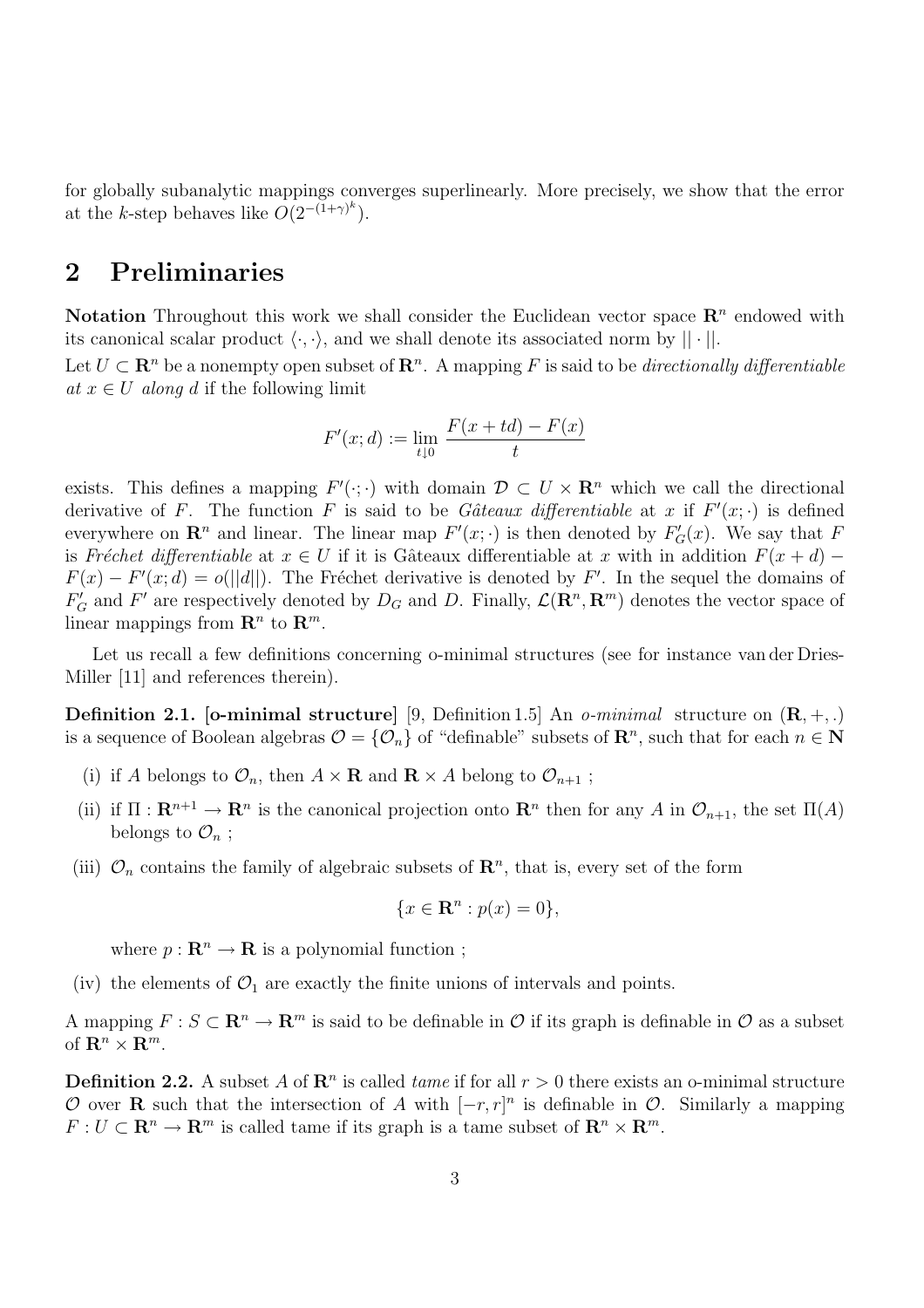for globally subanalytic mappings converges superlinearly. More precisely, we show that the error at the k-step behaves like  $O(2^{-(1+\gamma)^k})$ .

# 2 Preliminaries

Notation Throughout this work we shall consider the Euclidean vector space  $\mathbb{R}^n$  endowed with its canonical scalar product  $\langle \cdot, \cdot \rangle$ , and we shall denote its associated norm by  $|| \cdot ||$ .

Let  $U \subset \mathbf{R}^n$  be a nonempty open subset of  $\mathbf{R}^n$ . A mapping F is said to be *directionally differentiable* at  $x \in U$  along d if the following limit

$$
F'(x; d) := \lim_{t \downarrow 0} \frac{F(x + td) - F(x)}{t}
$$

exists. This defines a mapping  $F'(\cdot;\cdot)$  with domain  $\mathcal{D} \subset U \times \mathbb{R}^n$  which we call the directional derivative of F. The function F is said to be Gâteaux differentiable at x if  $F'(x; \cdot)$  is defined everywhere on  $\mathbf{R}^n$  and linear. The linear map  $F'(x; \cdot)$  is then denoted by  $F'_{G}(x)$ . We say that F is Fréchet differentiable at  $x \in U$  if it is Gâteaux differentiable at x with in addition  $F(x+d)$  –  $F(x) - F'(x; d) = o(||d||)$ . The Fréchet derivative is denoted by F'. In the sequel the domains of  $F'_G$  and F' are respectively denoted by  $D_G$  and D. Finally,  $\mathcal{L}(\mathbf{R}^n, \mathbf{R}^m)$  denotes the vector space of linear mappings from  $\mathbf{R}^n$  to  $\mathbf{R}^m$ .

Let us recall a few definitions concerning o-minimal structures (see for instance van der Dries-Miller [11] and references therein).

**Definition 2.1.** [o-minimal structure] [9, Definition 1.5] An *o-minimal* structure on  $(\mathbf{R}, +,.)$ is a sequence of Boolean algebras  $\mathcal{O} = \{ \mathcal{O}_n \}$  of "definable" subsets of  $\mathbb{R}^n$ , such that for each  $n \in \mathbb{N}$ 

- (i) if A belongs to  $\mathcal{O}_n$ , then  $A \times \mathbf{R}$  and  $\mathbf{R} \times A$  belong to  $\mathcal{O}_{n+1}$ ;
- (ii) if  $\Pi: \mathbf{R}^{n+1} \to \mathbf{R}^n$  is the canonical projection onto  $\mathbf{R}^n$  then for any A in  $\mathcal{O}_{n+1}$ , the set  $\Pi(A)$ belongs to  $\mathcal{O}_n$ ;
- (iii)  $\mathcal{O}_n$  contains the family of algebraic subsets of  $\mathbb{R}^n$ , that is, every set of the form

$$
\{x \in \mathbf{R}^n : p(x) = 0\},\
$$

where  $p: \mathbf{R}^n \to \mathbf{R}$  is a polynomial function;

(iv) the elements of  $\mathcal{O}_1$  are exactly the finite unions of intervals and points.

A mapping  $F : S \subset \mathbf{R}^n \to \mathbf{R}^m$  is said to be definable in  $\mathcal O$  if its graph is definable in  $\mathcal O$  as a subset of  $\mathbf{R}^n \times \mathbf{R}^m$ .

**Definition 2.2.** A subset A of  $\mathbb{R}^n$  is called *tame* if for all  $r > 0$  there exists an o-minimal structure O over **R** such that the intersection of A with  $[-r, r]^n$  is definable in O. Similarly a mapping  $F: U \subset \mathbf{R}^n \to \mathbf{R}^m$  is called tame if its graph is a tame subset of  $\mathbf{R}^n \times \mathbf{R}^m$ .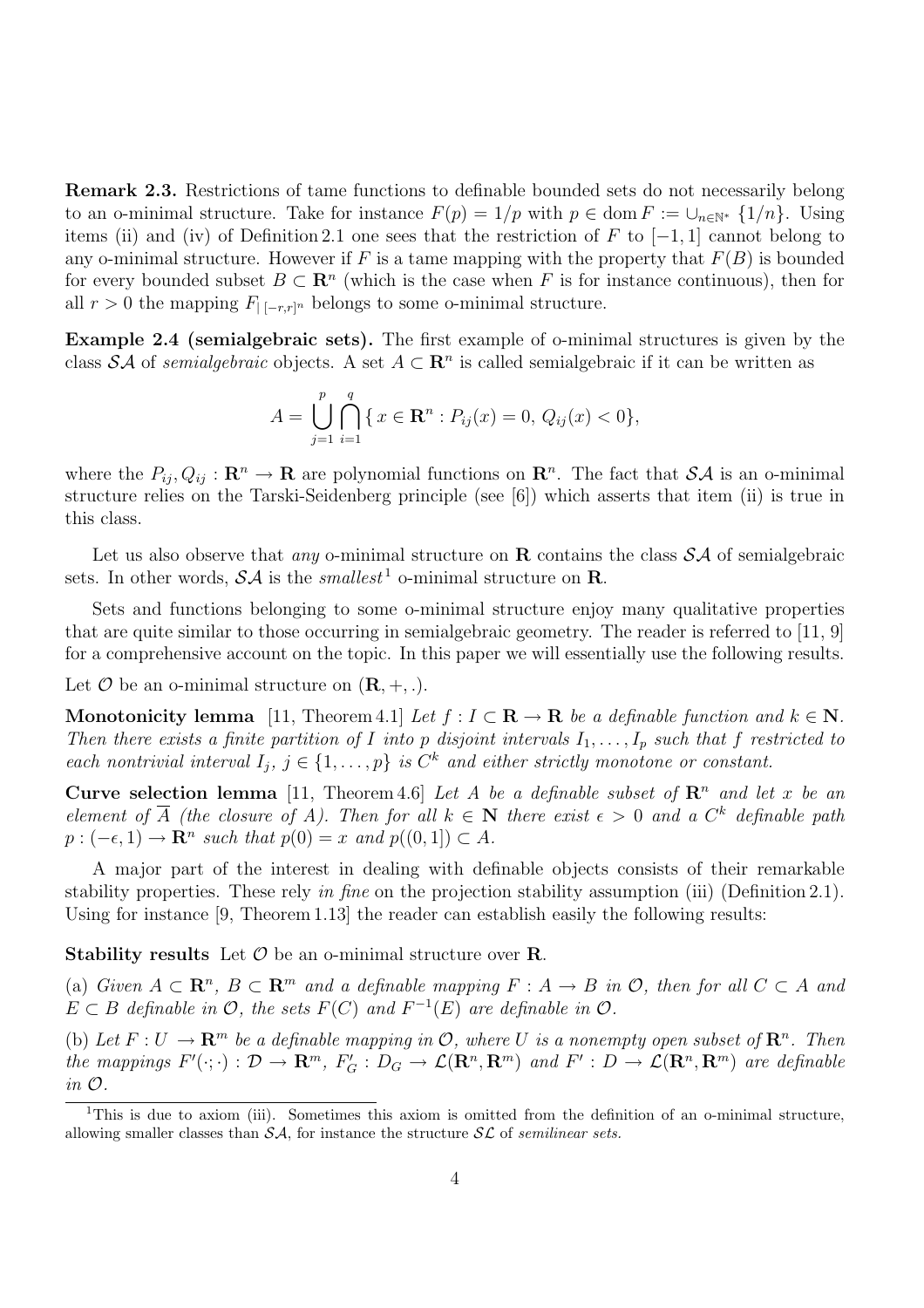Remark 2.3. Restrictions of tame functions to definable bounded sets do not necessarily belong to an o-minimal structure. Take for instance  $F(p) = 1/p$  with  $p \in \text{dom } F := \bigcup_{n \in \mathbb{N}^*} \{1/n\}$ . Using items (ii) and (iv) of Definition 2.1 one sees that the restriction of F to  $[-1, 1]$  cannot belong to any o-minimal structure. However if F is a tame mapping with the property that  $F(B)$  is bounded for every bounded subset  $B \subset \mathbb{R}^n$  (which is the case when F is for instance continuous), then for all  $r > 0$  the mapping  $F_{[-r,r]^n}$  belongs to some o-minimal structure.

Example 2.4 (semialgebraic sets). The first example of o-minimal structures is given by the class SA of semialgebraic objects. A set  $A \subset \mathbb{R}^n$  is called semialgebraic if it can be written as

$$
A = \bigcup_{j=1}^{p} \bigcap_{i=1}^{q} \{ x \in \mathbf{R}^{n} : P_{ij}(x) = 0, Q_{ij}(x) < 0 \},
$$

where the  $P_{ij}, Q_{ij} : \mathbf{R}^n \to \mathbf{R}$  are polynomial functions on  $\mathbf{R}^n$ . The fact that  $\mathcal{SA}$  is an o-minimal structure relies on the Tarski-Seidenberg principle (see [6]) which asserts that item (ii) is true in this class.

Let us also observe that *any* o-minimal structure on  $\bf{R}$  contains the class  $S\mathcal{A}$  of semialgebraic sets. In other words,  $\mathcal{SA}$  is the smallest<sup>1</sup> o-minimal structure on **R**.

Sets and functions belonging to some o-minimal structure enjoy many qualitative properties that are quite similar to those occurring in semialgebraic geometry. The reader is referred to [11, 9] for a comprehensive account on the topic. In this paper we will essentially use the following results.

Let  $\mathcal O$  be an o-minimal structure on  $(\mathbf R, +, .).$ 

Monotonicity lemma [11, Theorem 4.1] Let  $f : I \subset \mathbf{R} \to \mathbf{R}$  be a definable function and  $k \in \mathbf{N}$ . Then there exists a finite partition of I into p disjoint intervals  $I_1, \ldots, I_p$  such that f restricted to each nontrivial interval  $I_j$ ,  $j \in \{1, \ldots, p\}$  is  $C^k$  and either strictly monotone or constant.

Curve selection lemma [11, Theorem 4.6] Let A be a definable subset of  $\mathbb{R}^n$  and let x be an element of  $\overline{A}$  (the closure of A). Then for all  $k \in \mathbb{N}$  there exist  $\epsilon > 0$  and a  $C^k$  definable path  $p:(-\epsilon,1) \to \mathbf{R}^n$  such that  $p(0) = x$  and  $p((0,1]) \subset A$ .

A major part of the interest in dealing with definable objects consists of their remarkable stability properties. These rely in fine on the projection stability assumption (iii) (Definition 2.1). Using for instance [9, Theorem 1.13] the reader can establish easily the following results:

**Stability results** Let  $\mathcal{O}$  be an o-minimal structure over **R**.

(a) Given  $A \subset \mathbb{R}^n$ ,  $B \subset \mathbb{R}^m$  and a definable mapping  $F : A \to B$  in  $\mathcal{O}$ , then for all  $C \subset A$  and  $E \subset B$  definable in  $\mathcal{O}$ , the sets  $F(C)$  and  $F^{-1}(E)$  are definable in  $\mathcal{O}$ .

(b) Let  $F: U \to \mathbf{R}^m$  be a definable mapping in  $\mathcal{O}$ , where U is a nonempty open subset of  $\mathbf{R}^n$ . Then the mappings  $F'(\cdot;\cdot): \mathcal{D} \to \mathbb{R}^m$ ,  $F'_G: D_G \to \mathcal{L}(\mathbb{R}^n, \mathbb{R}^m)$  and  $F': D \to \mathcal{L}(\mathbb{R}^n, \mathbb{R}^m)$  are definable in O.

<sup>&</sup>lt;sup>1</sup>This is due to axiom (iii). Sometimes this axiom is omitted from the definition of an o-minimal structure, allowing smaller classes than  $\mathcal{SA}$ , for instance the structure  $\mathcal{SL}$  of semilinear sets.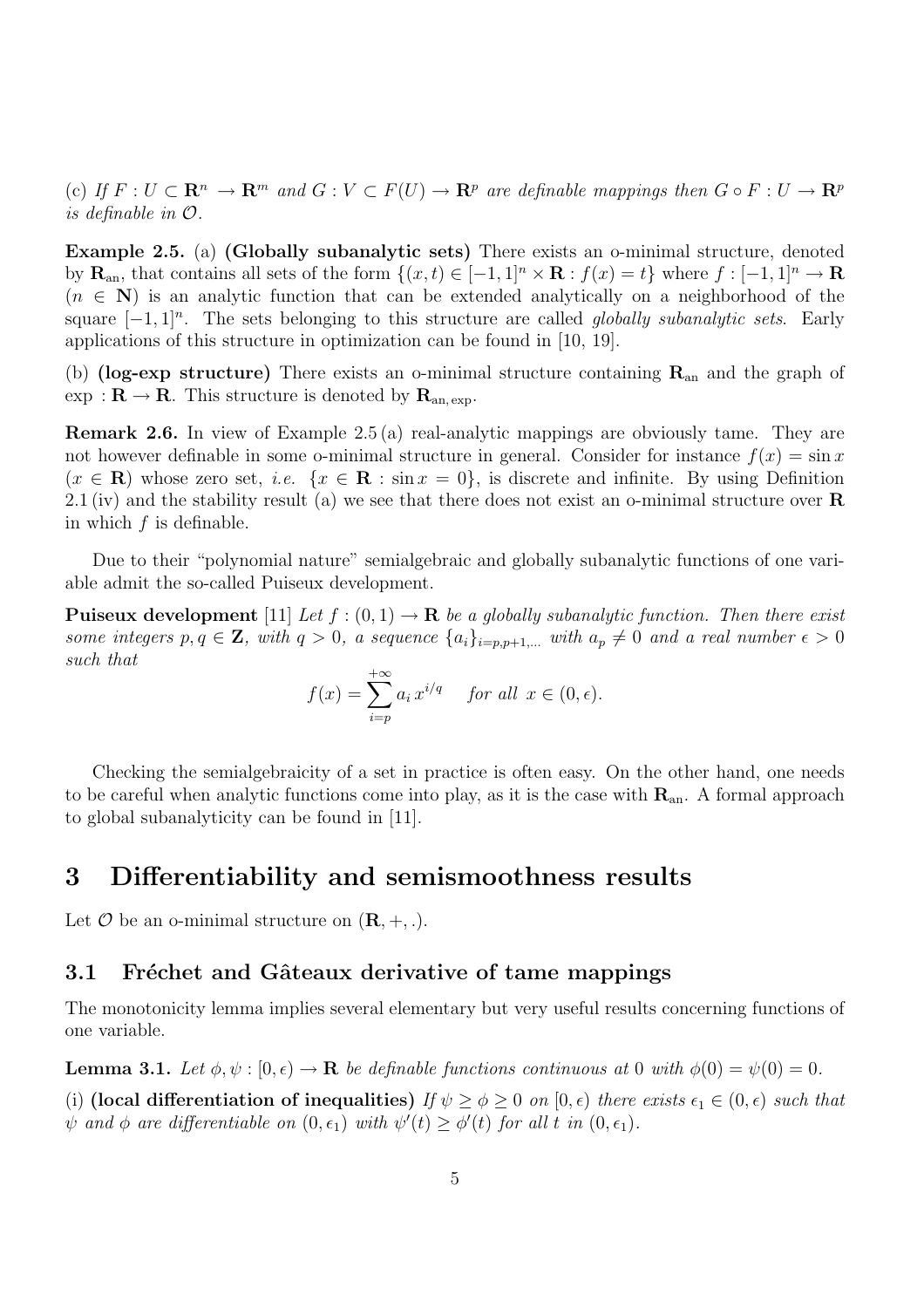(c) If  $F: U \subset \mathbf{R}^n \to \mathbf{R}^m$  and  $G: V \subset F(U) \to \mathbf{R}^p$  are definable mappings then  $G \circ F: U \to \mathbf{R}^p$ is definable in O.

Example 2.5. (a) (Globally subanalytic sets) There exists an o-minimal structure, denoted by  $\mathbf{R}_{\text{an}}$ , that contains all sets of the form  $\{(x,t) \in [-1,1]^n \times \mathbf{R} : f(x) = t\}$  where  $f : [-1,1]^n \to \mathbf{R}$  $(n \in \mathbb{N})$  is an analytic function that can be extended analytically on a neighborhood of the square  $[-1, 1]^n$ . The sets belonging to this structure are called *globally subanalytic sets*. Early applications of this structure in optimization can be found in [10, 19].

(b) (log-exp structure) There exists an o-minimal structure containing  $\mathbf{R}_{an}$  and the graph of  $\exp : \mathbf{R} \to \mathbf{R}$ . This structure is denoted by  $\mathbf{R}_{an, exp}$ .

Remark 2.6. In view of Example 2.5 (a) real-analytic mappings are obviously tame. They are not however definable in some o-minimal structure in general. Consider for instance  $f(x) = \sin x$  $(x \in \mathbf{R})$  whose zero set, *i.e.*  $\{x \in \mathbf{R} : \sin x = 0\}$ , is discrete and infinite. By using Definition 2.1 (iv) and the stability result (a) we see that there does not exist an o-minimal structure over  $\bf R$ in which  $f$  is definable.

Due to their "polynomial nature" semialgebraic and globally subanalytic functions of one variable admit the so-called Puiseux development.

**Puiseux development** [11] Let  $f:(0,1) \to \mathbf{R}$  be a globally subanalytic function. Then there exist some integers  $p, q \in \mathbf{Z}$ , with  $q > 0$ , a sequence  $\{a_i\}_{i=p, p+1,...}$  with  $a_p \neq 0$  and a real number  $\epsilon > 0$ such that

$$
f(x) = \sum_{i=p}^{+\infty} a_i x^{i/q} \quad \text{for all } x \in (0, \epsilon).
$$

Checking the semialgebraicity of a set in practice is often easy. On the other hand, one needs to be careful when analytic functions come into play, as it is the case with  $\mathbf{R}_{an}$ . A formal approach to global subanalyticity can be found in [11].

### 3 Differentiability and semismoothness results

Let  $\mathcal O$  be an o-minimal structure on  $(\mathbf R, +, \cdot)$ .

### 3.1 Fréchet and Gâteaux derivative of tame mappings

The monotonicity lemma implies several elementary but very useful results concerning functions of one variable.

**Lemma 3.1.** Let  $\phi, \psi : [0, \epsilon) \to \mathbf{R}$  be definable functions continuous at 0 with  $\phi(0) = \psi(0) = 0$ .

(i) (local differentiation of inequalities) If  $\psi > \phi > 0$  on  $[0, \epsilon)$  there exists  $\epsilon_1 \in (0, \epsilon)$  such that  $\psi$  and  $\phi$  are differentiable on  $(0, \epsilon_1)$  with  $\psi'(t) \geq \phi'(t)$  for all t in  $(0, \epsilon_1)$ .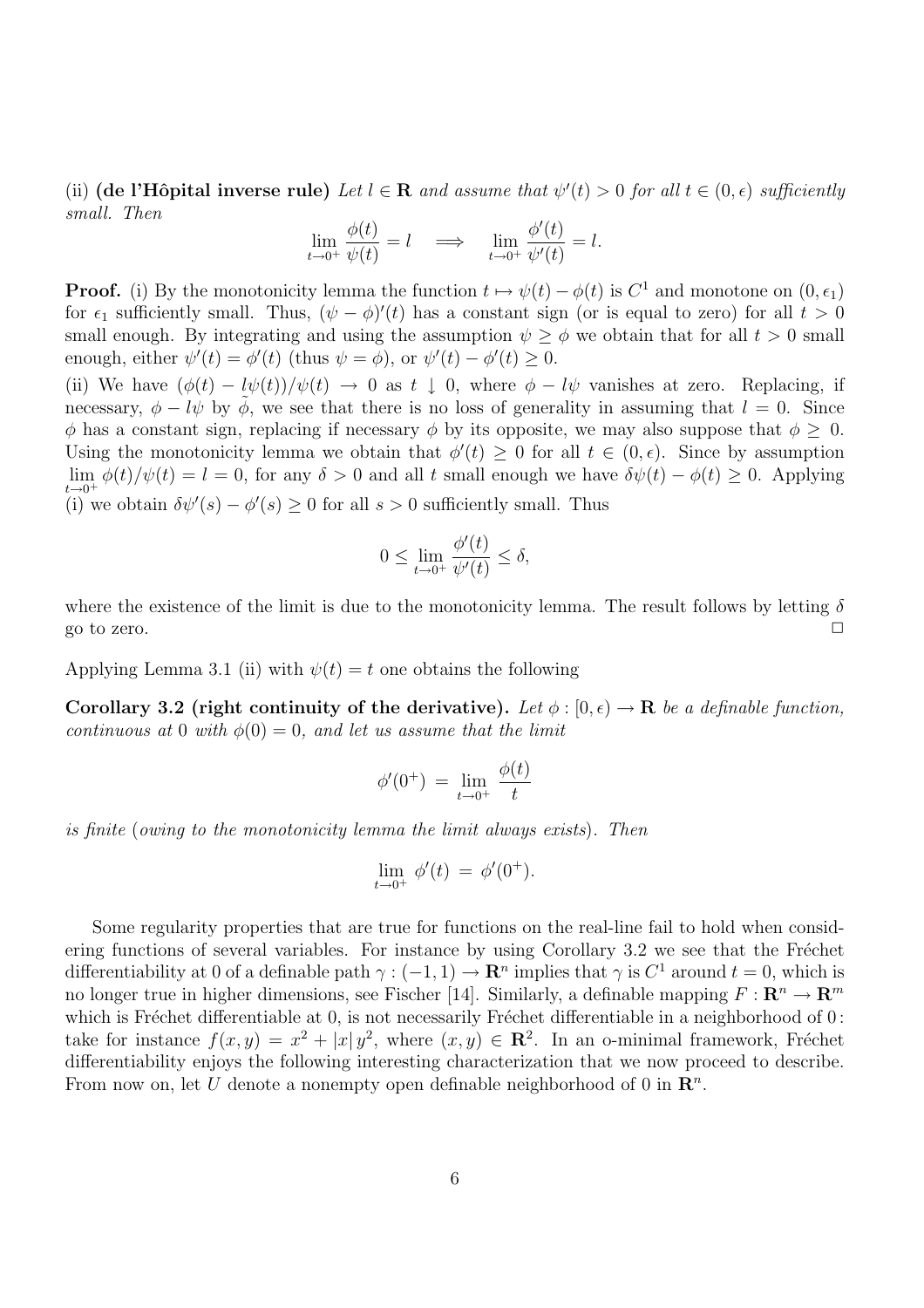(ii) (de l'Hôpital inverse rule) Let  $l \in \mathbb{R}$  and assume that  $\psi'(t) > 0$  for all  $t \in (0, \epsilon)$  sufficiently small. Then

$$
\lim_{t \to 0^+} \frac{\phi(t)}{\psi(t)} = l \quad \Longrightarrow \quad \lim_{t \to 0^+} \frac{\phi'(t)}{\psi'(t)} = l.
$$

**Proof.** (i) By the monotonicity lemma the function  $t \mapsto \psi(t) - \phi(t)$  is  $C^1$  and monotone on  $(0, \epsilon_1)$ for  $\epsilon_1$  sufficiently small. Thus,  $(\psi - \phi)'(t)$  has a constant sign (or is equal to zero) for all  $t > 0$ small enough. By integrating and using the assumption  $\psi \geq \phi$  we obtain that for all  $t > 0$  small enough, either  $\psi'(t) = \phi'(t)$  (thus  $\psi = \phi$ ), or  $\psi'(t) - \phi'(t) \geq 0$ .

(ii) We have  $(\phi(t) - l\psi(t))/\psi(t) \rightarrow 0$  as  $t \downarrow 0$ , where  $\phi - l\psi$  vanishes at zero. Replacing, if necessary,  $\phi - l\psi$  by  $\phi$ , we see that there is no loss of generality in assuming that  $l = 0$ . Since  $\phi$  has a constant sign, replacing if necessary  $\phi$  by its opposite, we may also suppose that  $\phi > 0$ . Using the monotonicity lemma we obtain that  $\phi'(t) \geq 0$  for all  $t \in (0, \epsilon)$ . Since by assumption lim  $\phi(t)/\psi(t) = l = 0$ , for any  $\delta > 0$  and all t small enough we have  $\delta\psi(t) - \phi(t) \geq 0$ . Applying  $\begin{array}{c}\n\text{if } t \to 0^+ \end{array}$  (i) we obtain  $\delta \psi'(s) - \phi'(s) \geq 0$  for all  $s > 0$  sufficiently small. Thus

$$
0 \le \lim_{t \to 0^+} \frac{\phi'(t)}{\psi'(t)} \le \delta,
$$

where the existence of the limit is due to the monotonicity lemma. The result follows by letting  $\delta$ go to zero.  $\Box$ 

Applying Lemma 3.1 (ii) with  $\psi(t) = t$  one obtains the following

Corollary 3.2 (right continuity of the derivative). Let  $\phi : [0, \epsilon) \to \mathbf{R}$  be a definable function, continuous at 0 with  $\phi(0) = 0$ , and let us assume that the limit

$$
\phi'(0^+) = \lim_{t \to 0^+} \frac{\phi(t)}{t}
$$

is finite (owing to the monotonicity lemma the limit always exists). Then

$$
\lim_{t \to 0^+} \phi'(t) = \phi'(0^+).
$$

Some regularity properties that are true for functions on the real-line fail to hold when considering functions of several variables. For instance by using Corollary 3.2 we see that the Fréchet differentiability at 0 of a definable path  $\gamma: (-1,1) \to \mathbb{R}^n$  implies that  $\gamma$  is  $C^1$  around  $t=0$ , which is no longer true in higher dimensions, see Fischer [14]. Similarly, a definable mapping  $F: \mathbb{R}^n \to \mathbb{R}^m$ which is Fréchet differentiable at 0, is not necessarily Fréchet differentiable in a neighborhood of  $0$ : take for instance  $f(x,y) = x^2 + |x|y^2$ , where  $(x,y) \in \mathbb{R}^2$ . In an o-minimal framework, Fréchet differentiability enjoys the following interesting characterization that we now proceed to describe. From now on, let U denote a nonempty open definable neighborhood of 0 in  $\mathbb{R}^n$ .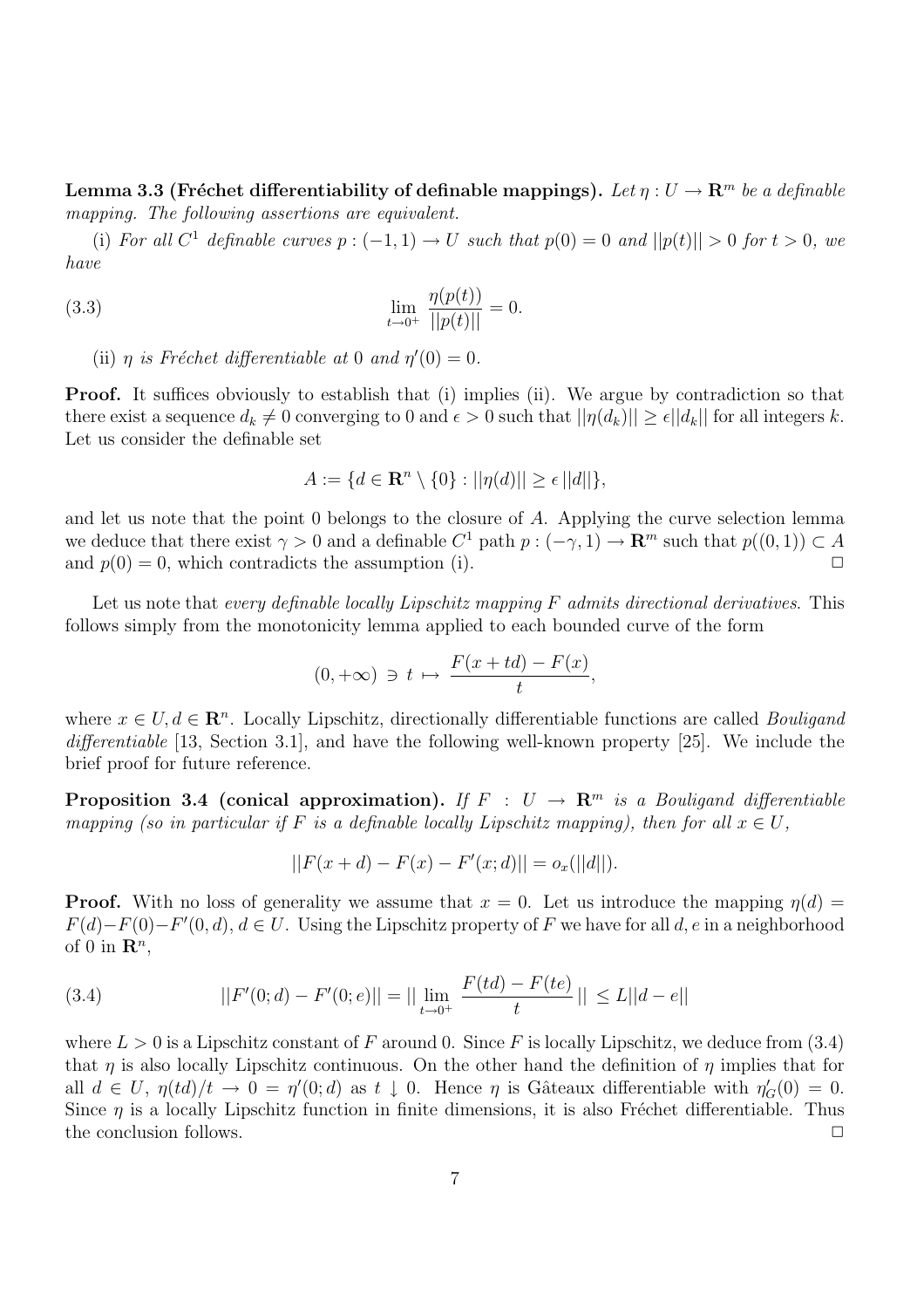Lemma 3.3 (Fréchet differentiability of definable mappings). Let  $\eta : U \to \mathbb{R}^m$  be a definable mapping. The following assertions are equivalent.

(i) For all  $C^1$  definable curves  $p: (-1,1) \to U$  such that  $p(0) = 0$  and  $||p(t)|| > 0$  for  $t > 0$ , we have

(3.3) 
$$
\lim_{t \to 0^+} \frac{\eta(p(t))}{||p(t)||} = 0.
$$

(ii)  $\eta$  is Fréchet differentiable at 0 and  $\eta'(0) = 0$ .

**Proof.** It suffices obviously to establish that (i) implies (ii). We argue by contradiction so that there exist a sequence  $d_k \neq 0$  converging to 0 and  $\epsilon > 0$  such that  $||\eta(d_k)|| \geq \epsilon ||d_k||$  for all integers k. Let us consider the definable set

$$
A := \{d \in \mathbf{R}^n \setminus \{0\} : ||\eta(d)|| \ge \epsilon ||d||\},\
$$

and let us note that the point 0 belongs to the closure of A. Applying the curve selection lemma we deduce that there exist  $\gamma > 0$  and a definable  $C^1$  path  $p : (-\gamma, 1) \to \mathbb{R}^m$  such that  $p((0, 1)) \subset A$ and  $p(0) = 0$ , which contradicts the assumption (i).

Let us note that every definable locally Lipschitz mapping  $F$  admits directional derivatives. This follows simply from the monotonicity lemma applied to each bounded curve of the form

$$
(0, +\infty) \ni t \mapsto \frac{F(x+td) - F(x)}{t},
$$

where  $x \in U, d \in \mathbb{R}^n$ . Locally Lipschitz, directionally differentiable functions are called *Bouligand* differentiable [13, Section 3.1], and have the following well-known property [25]. We include the brief proof for future reference.

**Proposition 3.4 (conical approximation).** If  $F : U \to \mathbb{R}^m$  is a Bouligand differentiable mapping (so in particular if F is a definable locally Lipschitz mapping), then for all  $x \in U$ ,

$$
||F(x+d) - F(x) - F'(x;d)|| = o_x(||d||).
$$

**Proof.** With no loss of generality we assume that  $x = 0$ . Let us introduce the mapping  $\eta(d)$  $F(d) - F(0) - F'(0, d), d \in U$ . Using the Lipschitz property of F we have for all d, e in a neighborhood of 0 in  $\mathbf{R}^n$ ,

(3.4) 
$$
||F'(0; d) - F'(0; e)|| = ||\lim_{t \to 0^+} \frac{F(td) - F(te)}{t}|| \le L||d - e||
$$

where  $L > 0$  is a Lipschitz constant of F around 0. Since F is locally Lipschitz, we deduce from (3.4) that  $\eta$  is also locally Lipschitz continuous. On the other hand the definition of  $\eta$  implies that for all  $d \in U$ ,  $\eta(t) / t \to 0 = \eta'(0; d)$  as  $t \downarrow 0$ . Hence  $\eta$  is Gâteaux differentiable with  $\eta'_{G}(0) = 0$ . Since  $\eta$  is a locally Lipschitz function in finite dimensions, it is also Fréchet differentiable. Thus the conclusion follows.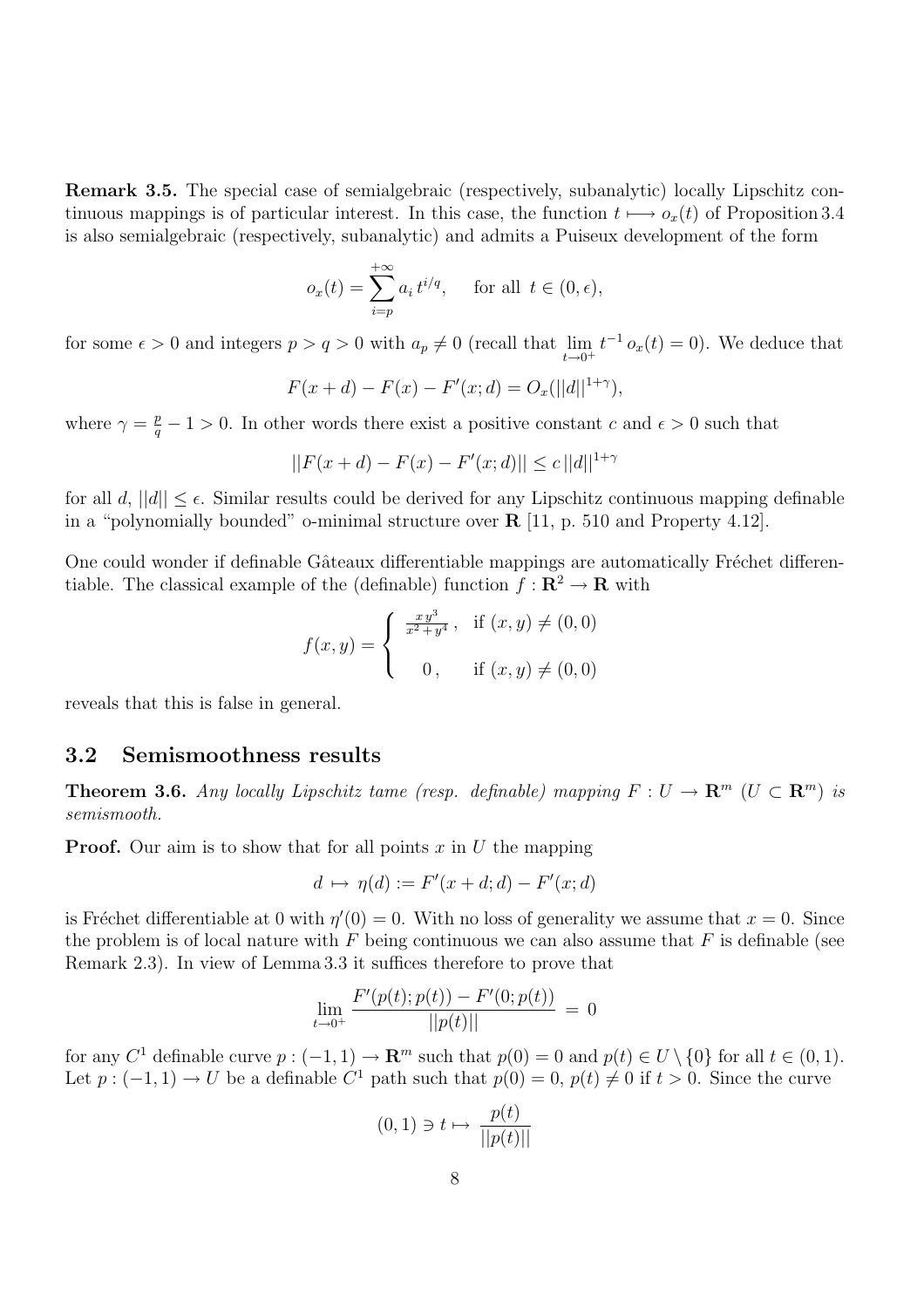Remark 3.5. The special case of semialgebraic (respectively, subanalytic) locally Lipschitz continuous mappings is of particular interest. In this case, the function  $t \mapsto o_x(t)$  of Proposition 3.4 is also semialgebraic (respectively, subanalytic) and admits a Puiseux development of the form

$$
o_x(t) = \sum_{i=p}^{+\infty} a_i t^{i/q}, \quad \text{for all } t \in (0, \epsilon),
$$

for some  $\epsilon > 0$  and integers  $p > q > 0$  with  $a_p \neq 0$  (recall that  $\lim_{t \to 0^+} t^{-1} o_x(t) = 0$ ). We deduce that

$$
F(x + d) - F(x) - F'(x; d) = O_x(||d||^{1+\gamma}),
$$

where  $\gamma = \frac{p}{q} - 1 > 0$ . In other words there exist a positive constant c and  $\epsilon > 0$  such that

$$
||F(x+d) - F(x) - F'(x;d)|| \le c ||d||^{1+\gamma}
$$

for all d,  $||d|| \leq \epsilon$ . Similar results could be derived for any Lipschitz continuous mapping definable in a "polynomially bounded" o-minimal structure over R [11, p. 510 and Property 4.12].

One could wonder if definable Gâteaux differentiable mappings are automatically Fréchet differentiable. The classical example of the (definable) function  $f: \mathbb{R}^2 \to \mathbb{R}$  with

$$
f(x,y) = \begin{cases} \frac{xy^3}{x^2 + y^4}, & \text{if } (x,y) \neq (0,0) \\ 0, & \text{if } (x,y) \neq (0,0) \end{cases}
$$

reveals that this is false in general.

### 3.2 Semismoothness results

**Theorem 3.6.** Any locally Lipschitz tame (resp. definable) mapping  $F: U \to \mathbb{R}^m$  ( $U \subset \mathbb{R}^m$ ) is semismooth.

**Proof.** Our aim is to show that for all points x in U the mapping

$$
d \mapsto \eta(d) := F'(x + d; d) - F'(x; d)
$$

is Fréchet differentiable at 0 with  $\eta'(0) = 0$ . With no loss of generality we assume that  $x = 0$ . Since the problem is of local nature with  $F$  being continuous we can also assume that  $F$  is definable (see Remark 2.3). In view of Lemma 3.3 it suffices therefore to prove that

$$
\lim_{t \to 0^+} \frac{F'(p(t); p(t)) - F'(0; p(t))}{||p(t)||} = 0
$$

for any  $C^1$  definable curve  $p: (-1,1) \to \mathbb{R}^m$  such that  $p(0) = 0$  and  $p(t) \in U \setminus \{0\}$  for all  $t \in (0,1)$ . Let  $p: (-1,1) \to U$  be a definable  $C^1$  path such that  $p(0) = 0$ ,  $p(t) \neq 0$  if  $t > 0$ . Since the curve

$$
(0,1) \ni t \mapsto \frac{p(t)}{||p(t)||}
$$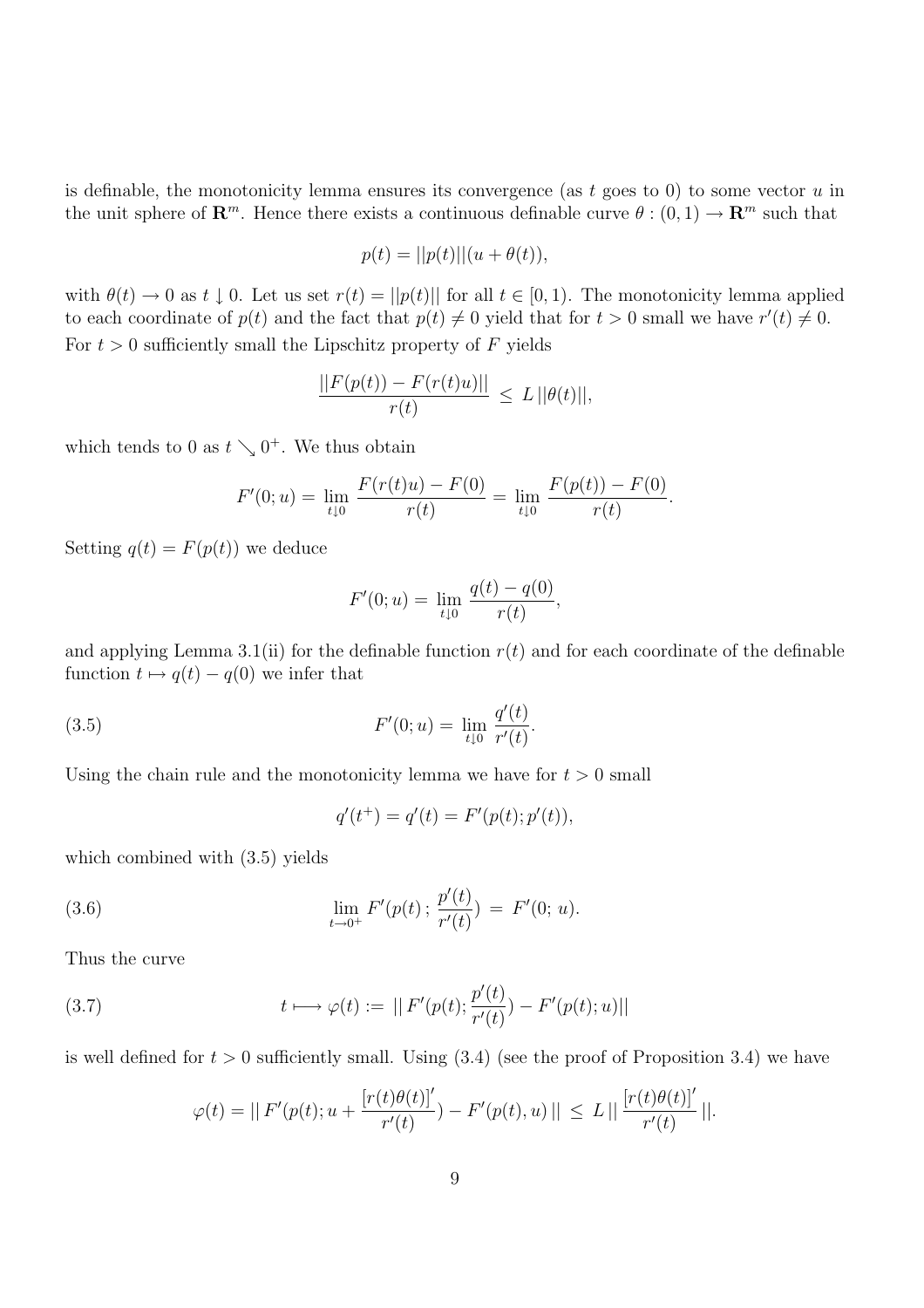is definable, the monotonicity lemma ensures its convergence (as t goes to 0) to some vector  $u$  in the unit sphere of  $\mathbb{R}^m$ . Hence there exists a continuous definable curve  $\theta : (0,1) \to \mathbb{R}^m$  such that

$$
p(t) = ||p(t)|| (u + \theta(t)),
$$

with  $\theta(t) \to 0$  as  $t \downarrow 0$ . Let us set  $r(t) = ||p(t)||$  for all  $t \in [0, 1)$ . The monotonicity lemma applied to each coordinate of  $p(t)$  and the fact that  $p(t) \neq 0$  yield that for  $t > 0$  small we have  $r'(t) \neq 0$ . For  $t > 0$  sufficiently small the Lipschitz property of F yields

$$
\frac{||F(p(t)) - F(r(t)u)||}{r(t)} \le L ||\theta(t)||,
$$

which tends to 0 as  $t \searrow 0^+$ . We thus obtain

$$
F'(0; u) = \lim_{t \downarrow 0} \frac{F(r(t)u) - F(0)}{r(t)} = \lim_{t \downarrow 0} \frac{F(p(t)) - F(0)}{r(t)}.
$$

Setting  $q(t) = F(p(t))$  we deduce

$$
F'(0; u) = \lim_{t \downarrow 0} \frac{q(t) - q(0)}{r(t)},
$$

and applying Lemma 3.1(ii) for the definable function  $r(t)$  and for each coordinate of the definable function  $t \mapsto q(t) - q(0)$  we infer that

(3.5) 
$$
F'(0; u) = \lim_{t \downarrow 0} \frac{q'(t)}{r'(t)}.
$$

Using the chain rule and the monotonicity lemma we have for  $t > 0$  small

$$
q'(t^+) = q'(t) = F'(p(t); p'(t)),
$$

which combined with (3.5) yields

(3.6) 
$$
\lim_{t \to 0^+} F'(p(t); \frac{p'(t)}{r'(t)}) = F'(0; u).
$$

Thus the curve

(3.7) 
$$
t \longmapsto \varphi(t) := || F'(p(t); \frac{p'(t)}{r'(t)}) - F'(p(t); u) ||
$$

is well defined for  $t > 0$  sufficiently small. Using  $(3.4)$  (see the proof of Proposition 3.4) we have

$$
\varphi(t) = || F'(p(t); u + \frac{[r(t)\theta(t)]'}{r'(t)}) - F'(p(t), u) || \le L || \frac{[r(t)\theta(t)]'}{r'(t)} ||.
$$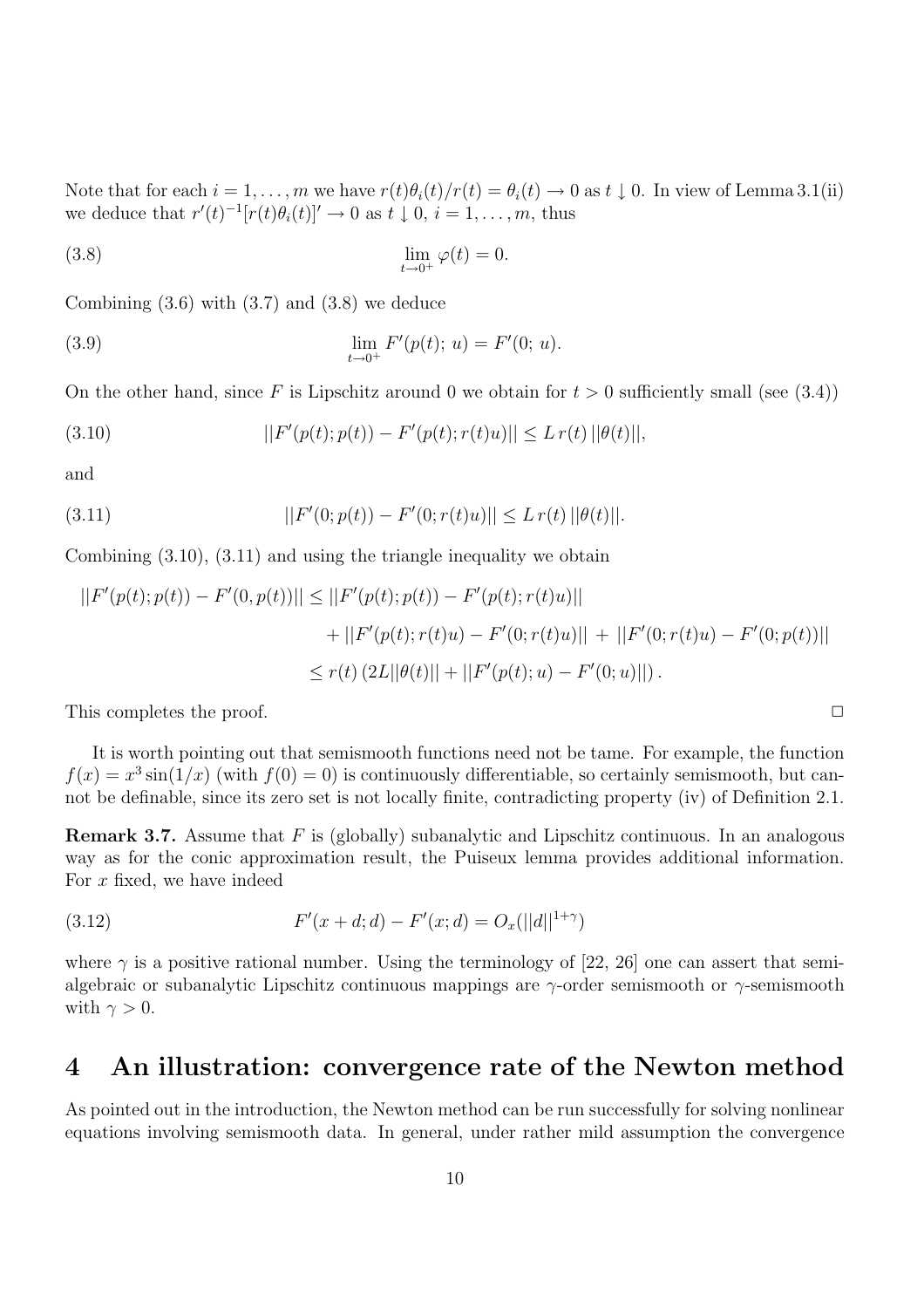Note that for each  $i = 1, \ldots, m$  we have  $r(t)\theta_i(t)/r(t) = \theta_i(t) \to 0$  as  $t \downarrow 0$ . In view of Lemma 3.1(ii) we deduce that  $r'(t)^{-1}[r(t)\theta_i(t)]' \to 0$  as  $t \downarrow 0, i = 1, \ldots, m$ , thus

(3.8) 
$$
\lim_{t \to 0^+} \varphi(t) = 0.
$$

Combining  $(3.6)$  with  $(3.7)$  and  $(3.8)$  we deduce

(3.9) 
$$
\lim_{t \to 0^+} F'(p(t); u) = F'(0; u).
$$

On the other hand, since F is Lipschitz around 0 we obtain for  $t > 0$  sufficiently small (see (3.4))

(3.10) 
$$
||F'(p(t);p(t)) - F'(p(t);r(t)u)|| \leq L r(t) ||\theta(t)||,
$$

and

(3.11) 
$$
||F'(0; p(t)) - F'(0; r(t)u)|| \le L r(t) ||\theta(t)||.
$$

Combining (3.10), (3.11) and using the triangle inequality we obtain

$$
||F'(p(t);p(t)) - F'(0,p(t))|| \le ||F'(p(t);p(t)) - F'(p(t);r(t)u)||
$$
  
+ 
$$
||F'(p(t);r(t)u) - F'(0;r(t)u)|| + ||F'(0;r(t)u) - F'(0;p(t))||
$$
  

$$
\le r(t) (2L||\theta(t)|| + ||F'(p(t);u) - F'(0;u)||).
$$

This completes the proof.  $\Box$ 

It is worth pointing out that semismooth functions need not be tame. For example, the function  $f(x) = x^3 \sin(1/x)$  (with  $f(0) = 0$ ) is continuously differentiable, so certainly semismooth, but cannot be definable, since its zero set is not locally finite, contradicting property (iv) of Definition 2.1.

**Remark 3.7.** Assume that F is (globally) subanalytic and Lipschitz continuous. In an analogous way as for the conic approximation result, the Puiseux lemma provides additional information. For  $x$  fixed, we have indeed

(3.12) 
$$
F'(x+d;d) - F'(x;d) = O_x(||d||^{1+\gamma})
$$

where  $\gamma$  is a positive rational number. Using the terminology of [22, 26] one can assert that semialgebraic or subanalytic Lipschitz continuous mappings are  $\gamma$ -order semismooth or  $\gamma$ -semismooth with  $\gamma > 0$ .

# 4 An illustration: convergence rate of the Newton method

As pointed out in the introduction, the Newton method can be run successfully for solving nonlinear equations involving semismooth data. In general, under rather mild assumption the convergence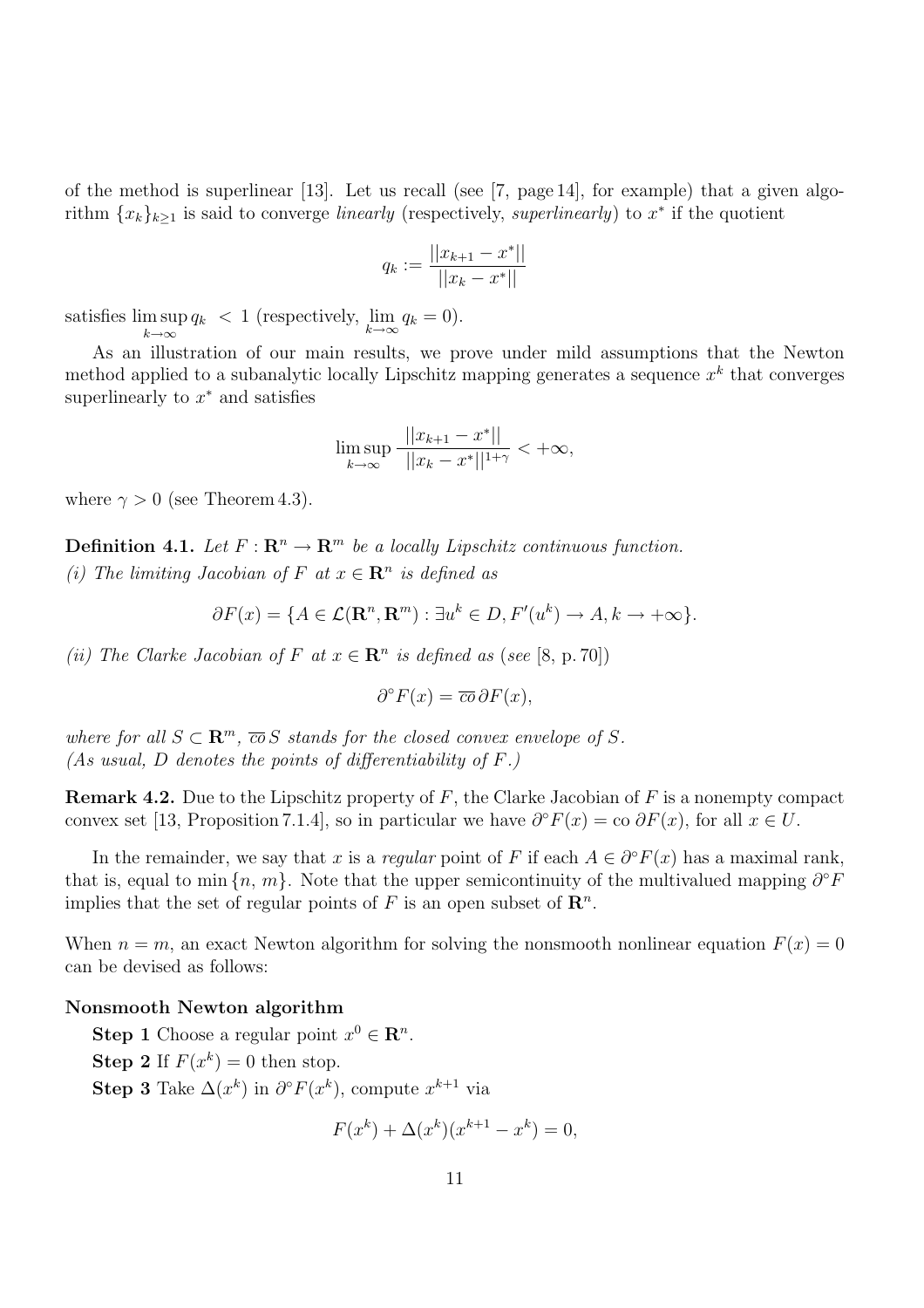of the method is superlinear [13]. Let us recall (see [7, page 14], for example) that a given algorithm  ${x_k}_{k\geq 1}$  is said to converge *linearly* (respectively, *superlinearly*) to  $x^*$  if the quotient

$$
q_k := \frac{||x_{k+1} - x^*||}{||x_k - x^*||}
$$

satisfies lim sup  $k\rightarrow\infty$  $q_k < 1$  (respectively,  $\lim_{k \to \infty} q_k = 0$ ).

As an illustration of our main results, we prove under mild assumptions that the Newton method applied to a subanalytic locally Lipschitz mapping generates a sequence  $x^k$  that converges superlinearly to  $x^*$  and satisfies

$$
\limsup_{k \to \infty} \frac{||x_{k+1} - x^*||}{||x_k - x^*||^{1+\gamma}} < +\infty,
$$

where  $\gamma > 0$  (see Theorem 4.3).

**Definition 4.1.** Let  $F: \mathbb{R}^n \to \mathbb{R}^m$  be a locally Lipschitz continuous function.

(i) The limiting Jacobian of F at  $x \in \mathbb{R}^n$  is defined as

$$
\partial F(x) = \{ A \in \mathcal{L}(\mathbf{R}^n, \mathbf{R}^m) : \exists u^k \in D, F'(u^k) \to A, k \to +\infty \}.
$$

(ii) The Clarke Jacobian of F at  $x \in \mathbb{R}^n$  is defined as (see [8, p. 70])

$$
\partial^{\circ} F(x) = \overline{co} \, \partial F(x),
$$

where for all  $S \subset \mathbb{R}^m$ ,  $\overline{co} S$  stands for the closed convex envelope of S. (As usual, D denotes the points of differentiability of  $F$ .)

**Remark 4.2.** Due to the Lipschitz property of  $F$ , the Clarke Jacobian of  $F$  is a nonempty compact convex set [13, Proposition 7.1.4], so in particular we have  $\partial^{\circ} F(x) = \text{co }\partial F(x)$ , for all  $x \in U$ .

In the remainder, we say that x is a regular point of F if each  $A \in \partial^{\circ} F(x)$  has a maximal rank, that is, equal to min  $\{n, m\}$ . Note that the upper semicontinuity of the multivalued mapping  $\partial^{\circ} F$ implies that the set of regular points of F is an open subset of  $\mathbb{R}^n$ .

When  $n = m$ , an exact Newton algorithm for solving the nonsmooth nonlinear equation  $F(x) = 0$ can be devised as follows:

#### Nonsmooth Newton algorithm

**Step 1** Choose a regular point  $x^0 \in \mathbb{R}^n$ . **Step 2** If  $F(x^k) = 0$  then stop. Step 3 Take  $\Delta(x^k)$  in  $\partial^{\circ} F(x^k)$ , compute  $x^{k+1}$  via

$$
F(x^{k}) + \Delta(x^{k})(x^{k+1} - x^{k}) = 0,
$$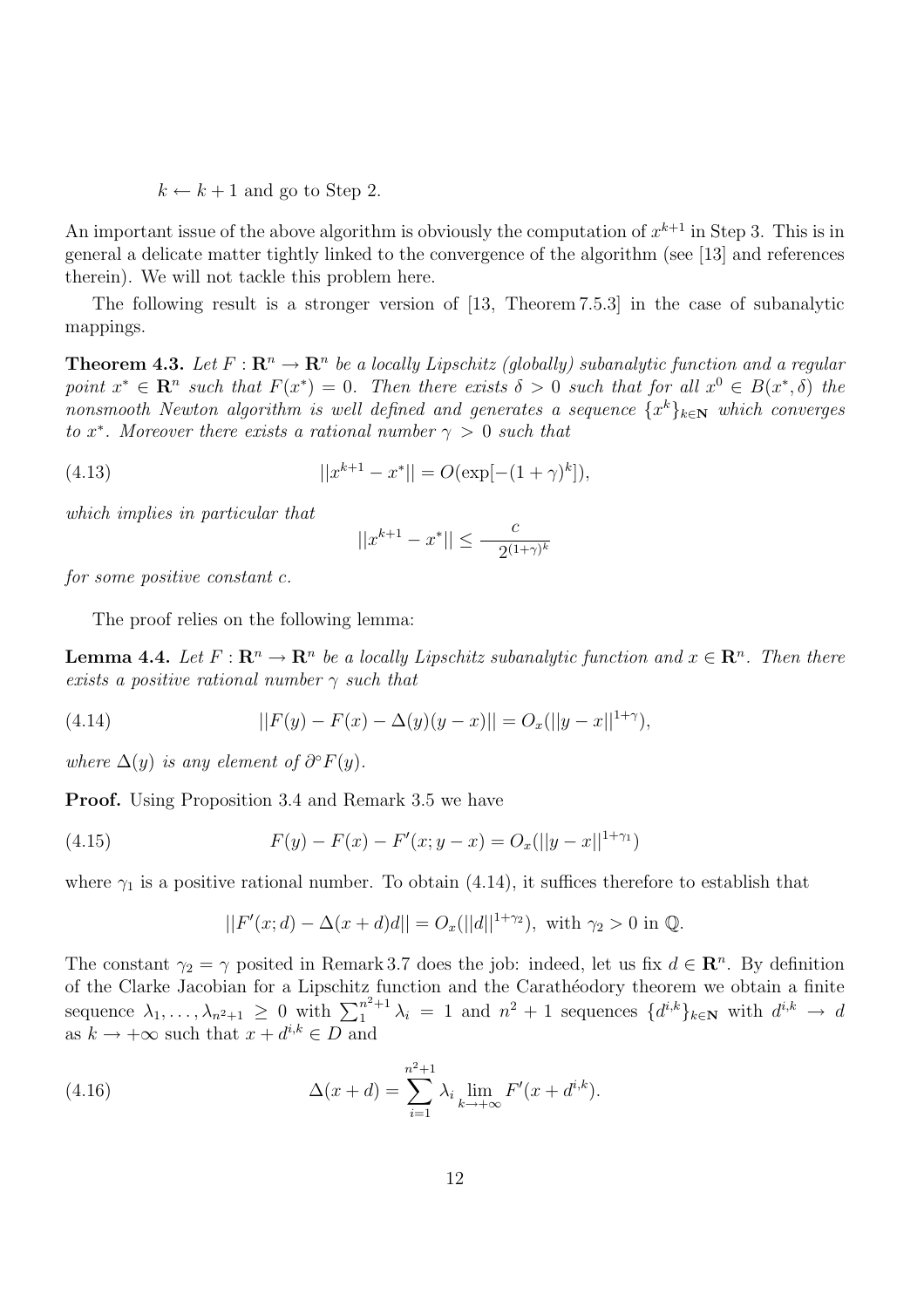$k \leftarrow k + 1$  and go to Step 2.

An important issue of the above algorithm is obviously the computation of  $x^{k+1}$  in Step 3. This is in general a delicate matter tightly linked to the convergence of the algorithm (see [13] and references therein). We will not tackle this problem here.

The following result is a stronger version of [13, Theorem 7.5.3] in the case of subanalytic mappings.

**Theorem 4.3.** Let  $F: \mathbb{R}^n \to \mathbb{R}^n$  be a locally Lipschitz (globally) subanalytic function and a regular point  $x^* \in \mathbb{R}^n$  such that  $F(x^*) = 0$ . Then there exists  $\delta > 0$  such that for all  $x^0 \in B(x^*, \delta)$  the nonsmooth Newton algorithm is well defined and generates a sequence  $\{x^k\}_{k\in\mathbb{N}}$  which converges to x<sup>\*</sup>. Moreover there exists a rational number  $\gamma > 0$  such that

(4.13) 
$$
||x^{k+1} - x^*|| = O(\exp[-(1+\gamma)^k]),
$$

which implies in particular that

$$
||x^{k+1}-x^*|| \leq \frac{c}{-2^{(1+\gamma)^k}}
$$

for some positive constant c.

The proof relies on the following lemma:

**Lemma 4.4.** Let  $F: \mathbb{R}^n \to \mathbb{R}^n$  be a locally Lipschitz subanalytic function and  $x \in \mathbb{R}^n$ . Then there exists a positive rational number  $\gamma$  such that

(4.14) 
$$
||F(y) - F(x) - \Delta(y)(y - x)|| = O_x(||y - x||^{1+\gamma}),
$$

where  $\Delta(y)$  is any element of  $\partial^{\circ} F(y)$ .

**Proof.** Using Proposition 3.4 and Remark 3.5 we have

(4.15) 
$$
F(y) - F(x) - F'(x; y - x) = O_x(||y - x||^{1 + \gamma_1})
$$

where  $\gamma_1$  is a positive rational number. To obtain (4.14), it suffices therefore to establish that

$$
||F'(x; d) - \Delta(x + d)d|| = O_x(||d||^{1+\gamma_2}), \text{ with } \gamma_2 > 0 \text{ in } \mathbb{Q}.
$$

The constant  $\gamma_2 = \gamma$  posited in Remark 3.7 does the job: indeed, let us fix  $d \in \mathbb{R}^n$ . By definition of the Clarke Jacobian for a Lipschitz function and the Carath´eodory theorem we obtain a finite sequence  $\lambda_1, \ldots, \lambda_{n^2+1} \geq 0$  with  $\sum_{1}^{n^2+1}$  $n^{2}+1 \lambda_i = 1$  and  $n^2 + 1$  sequences  $\{d^{i,k}\}_{k \in \mathbb{N}}$  with  $d^{i,k} \to d$ as  $k \to +\infty$  such that  $x + d^{i,k} \in D$  and

(4.16) 
$$
\Delta(x+d) = \sum_{i=1}^{n^2+1} \lambda_i \lim_{k \to +\infty} F'(x+d^{i,k}).
$$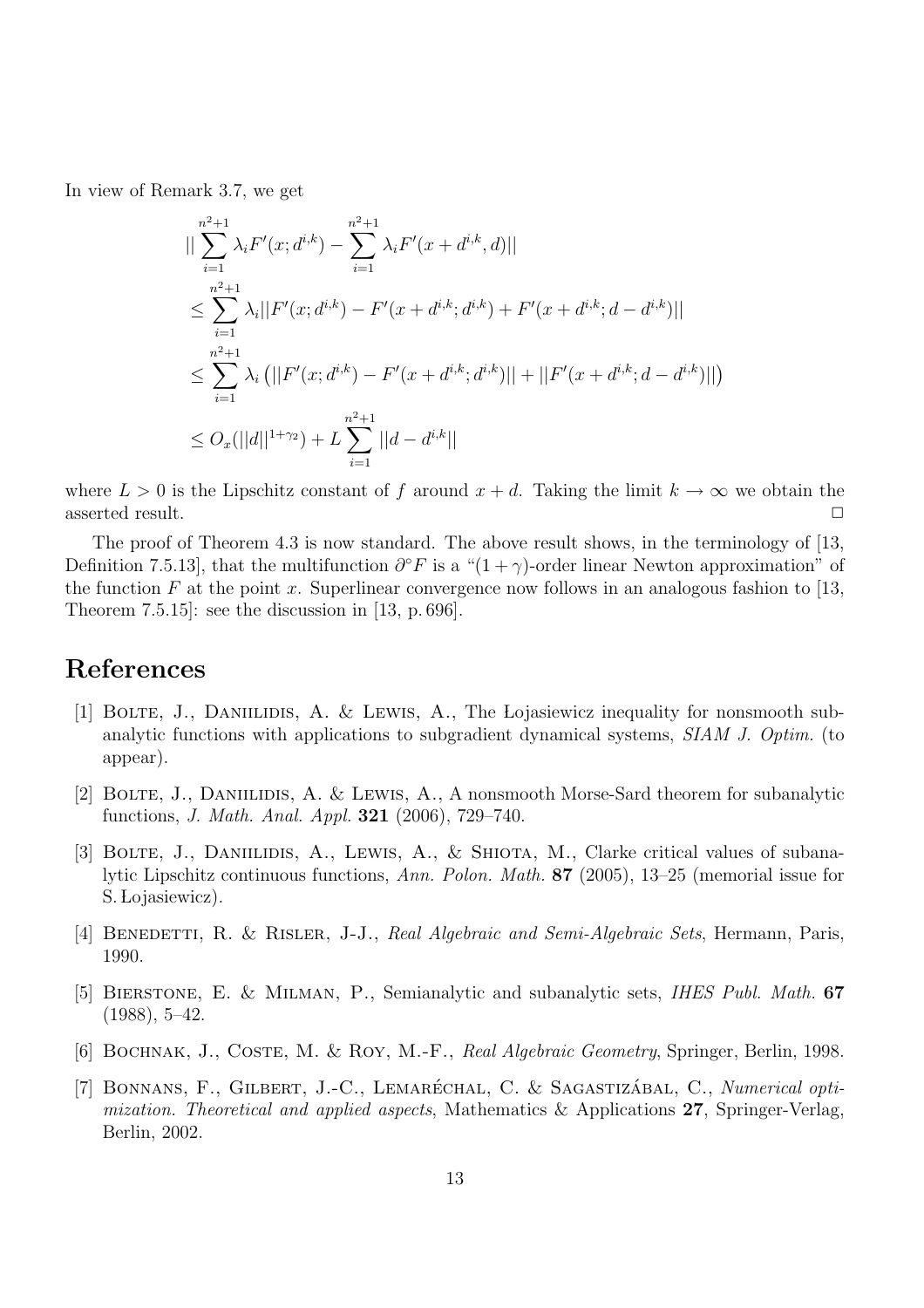In view of Remark 3.7, we get

$$
\|\sum_{i=1}^{n^{2}+1} \lambda_{i} F'(x; d^{i,k}) - \sum_{i=1}^{n^{2}+1} \lambda_{i} F'(x + d^{i,k}, d)\|
$$
  
\n
$$
\leq \sum_{i=1}^{n^{2}+1} \lambda_{i} ||F'(x; d^{i,k}) - F'(x + d^{i,k}; d^{i,k}) + F'(x + d^{i,k}; d - d^{i,k})||
$$
  
\n
$$
\leq \sum_{i=1}^{n^{2}+1} \lambda_{i} (||F'(x; d^{i,k}) - F'(x + d^{i,k}; d^{i,k})|| + ||F'(x + d^{i,k}; d - d^{i,k})||)
$$
  
\n
$$
\leq O_{x}(||d||^{1+\gamma_{2}}) + L \sum_{i=1}^{n^{2}+1} ||d - d^{i,k}||
$$

where  $L > 0$  is the Lipschitz constant of f around  $x + d$ . Taking the limit  $k \to \infty$  we obtain the asserted result.  $\Box$ 

The proof of Theorem 4.3 is now standard. The above result shows, in the terminology of [13, Definition 7.5.13, that the multifunction  $\partial^{\circ} F$  is a " $(1 + \gamma)$ -order linear Newton approximation" of the function F at the point x. Superlinear convergence now follows in an analogous fashion to [13, Theorem 7.5.15]: see the discussion in [13, p. 696].

### References

- [1] BOLTE, J., DANIILIDIS, A. & LEWIS, A., The Lojasiewicz inequality for nonsmooth subanalytic functions with applications to subgradient dynamical systems, SIAM J. Optim. (to appear).
- [2] BOLTE, J., DANIILIDIS, A. & LEWIS, A., A nonsmooth Morse-Sard theorem for subanalytic functions, J. Math. Anal. Appl. 321 (2006), 729–740.
- [3] BOLTE, J., DANIILIDIS, A., LEWIS, A., & SHIOTA, M., Clarke critical values of subanalytic Lipschitz continuous functions, Ann. Polon. Math. 87 (2005), 13–25 (memorial issue for S. Lojasiewicz).
- [4] BENEDETTI, R. & RISLER, J-J., Real Algebraic and Semi-Algebraic Sets, Hermann, Paris, 1990.
- [5] Bierstone, E. & Milman, P., Semianalytic and subanalytic sets, IHES Publ. Math. 67  $(1988), 5-42.$
- [6] BOCHNAK, J., COSTE, M. & ROY, M.-F., Real Algebraic Geometry, Springer, Berlin, 1998.
- [7] BONNANS, F., GILBERT, J.-C., LEMARÉCHAL, C. & SAGASTIZÁBAL, C., Numerical optimization. Theoretical and applied aspects, Mathematics & Applications 27, Springer-Verlag, Berlin, 2002.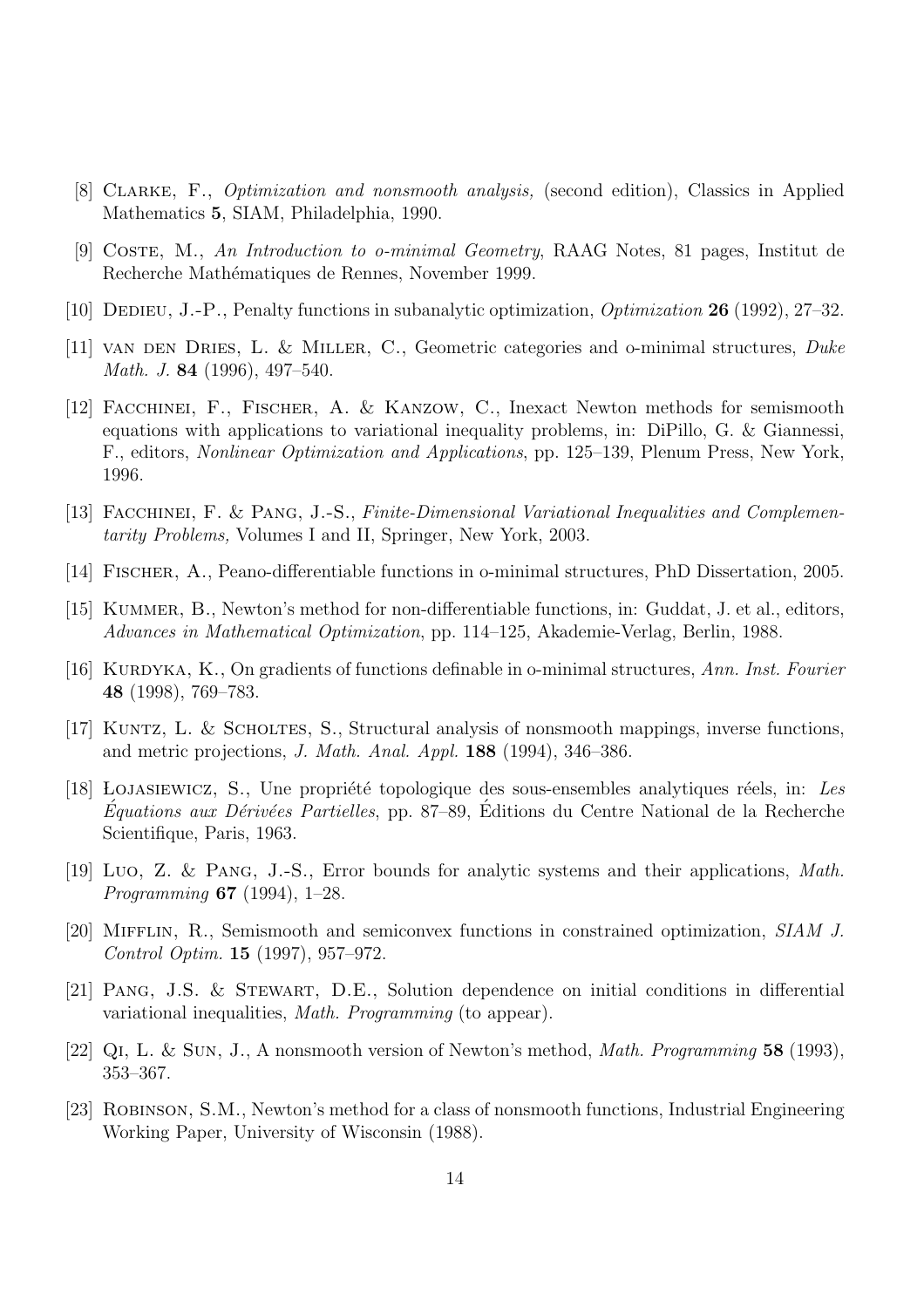- [8] Clarke, F., Optimization and nonsmooth analysis, (second edition), Classics in Applied Mathematics 5, SIAM, Philadelphia, 1990.
- [9] Coste, M., An Introduction to o-minimal Geometry, RAAG Notes, 81 pages, Institut de Recherche Mathématiques de Rennes, November 1999.
- [10] Dedieu, J.-P., Penalty functions in subanalytic optimization, Optimization 26 (1992), 27–32.
- [11] VAN DEN DRIES, L. & MILLER, C., Geometric categories and o-minimal structures, Duke Math. J. 84 (1996), 497–540.
- [12] Facchinei, F., Fischer, A. & Kanzow, C., Inexact Newton methods for semismooth equations with applications to variational inequality problems, in: DiPillo, G. & Giannessi, F., editors, Nonlinear Optimization and Applications, pp. 125–139, Plenum Press, New York, 1996.
- [13] Facchinei, F. & Pang, J.-S., Finite-Dimensional Variational Inequalities and Complementarity Problems, Volumes I and II, Springer, New York, 2003.
- [14] Fischer, A., Peano-differentiable functions in o-minimal structures, PhD Dissertation, 2005.
- [15] KUMMER, B., Newton's method for non-differentiable functions, in: Guddat, J. et al., editors, Advances in Mathematical Optimization, pp. 114–125, Akademie-Verlag, Berlin, 1988.
- [16] KURDYKA, K., On gradients of functions definable in o-minimal structures, Ann. Inst. Fourier 48 (1998), 769–783.
- [17] Kuntz, L. & Scholtes, S., Structural analysis of nonsmooth mappings, inverse functions, and metric projections, J. Math. Anal. Appl. 188 (1994), 346–386.
- [18] LOJASIEWICZ, S., Une propriété topologique des sous-ensembles analytiques réels, in: Les  $Équations \, aux \, Dérivées \, Partielles, \, pp. \, 87–89, \, Éditions \, du \, Centre \, National \, de \, la \, Recherche$ Scientifique, Paris, 1963.
- [19] Luo, Z. & Pang, J.-S., Error bounds for analytic systems and their applications, Math. Programming 67 (1994), 1–28.
- [20] Mifflin, R., Semismooth and semiconvex functions in constrained optimization, SIAM J. Control Optim. 15 (1997), 957–972.
- [21] Pang, J.S. & Stewart, D.E., Solution dependence on initial conditions in differential variational inequalities, Math. Programming (to appear).
- [22] Qi, L. & Sun, J., A nonsmooth version of Newton's method, Math. Programming 58 (1993), 353–367.
- [23] Robinson, S.M., Newton's method for a class of nonsmooth functions, Industrial Engineering Working Paper, University of Wisconsin (1988).